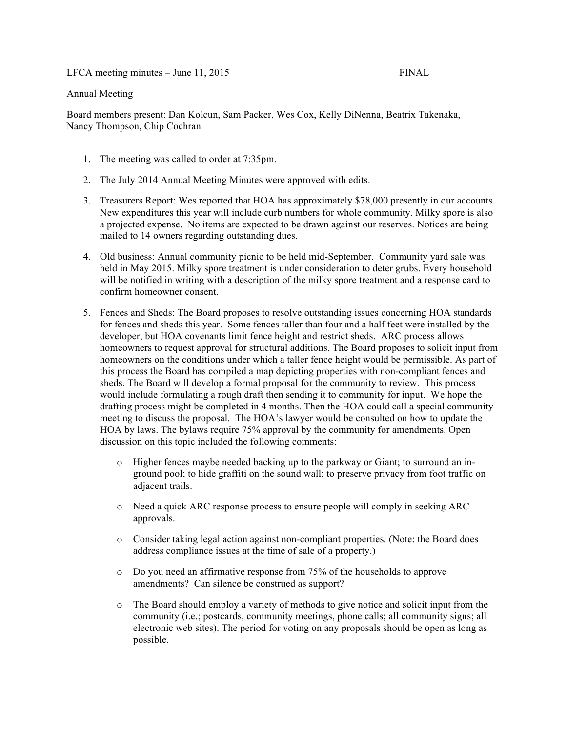LFCA meeting minutes – June 11, 2015 FINAL

## Annual Meeting

Board members present: Dan Kolcun, Sam Packer, Wes Cox, Kelly DiNenna, Beatrix Takenaka, Nancy Thompson, Chip Cochran

- 1. The meeting was called to order at 7:35pm.
- 2. The July 2014 Annual Meeting Minutes were approved with edits.
- 3. Treasurers Report: Wes reported that HOA has approximately \$78,000 presently in our accounts. New expenditures this year will include curb numbers for whole community. Milky spore is also a projected expense. No items are expected to be drawn against our reserves. Notices are being mailed to 14 owners regarding outstanding dues.
- 4. Old business: Annual community picnic to be held mid-September. Community yard sale was held in May 2015. Milky spore treatment is under consideration to deter grubs. Every household will be notified in writing with a description of the milky spore treatment and a response card to confirm homeowner consent.
- 5. Fences and Sheds: The Board proposes to resolve outstanding issues concerning HOA standards for fences and sheds this year. Some fences taller than four and a half feet were installed by the developer, but HOA covenants limit fence height and restrict sheds. ARC process allows homeowners to request approval for structural additions. The Board proposes to solicit input from homeowners on the conditions under which a taller fence height would be permissible. As part of this process the Board has compiled a map depicting properties with non-compliant fences and sheds. The Board will develop a formal proposal for the community to review. This process would include formulating a rough draft then sending it to community for input. We hope the drafting process might be completed in 4 months. Then the HOA could call a special community meeting to discuss the proposal. The HOA's lawyer would be consulted on how to update the HOA by laws. The bylaws require 75% approval by the community for amendments. Open discussion on this topic included the following comments:
	- o Higher fences maybe needed backing up to the parkway or Giant; to surround an inground pool; to hide graffiti on the sound wall; to preserve privacy from foot traffic on adjacent trails.
	- o Need a quick ARC response process to ensure people will comply in seeking ARC approvals.
	- o Consider taking legal action against non-compliant properties. (Note: the Board does address compliance issues at the time of sale of a property.)
	- o Do you need an affirmative response from 75% of the households to approve amendments? Can silence be construed as support?
	- o The Board should employ a variety of methods to give notice and solicit input from the community (i.e.; postcards, community meetings, phone calls; all community signs; all electronic web sites). The period for voting on any proposals should be open as long as possible.